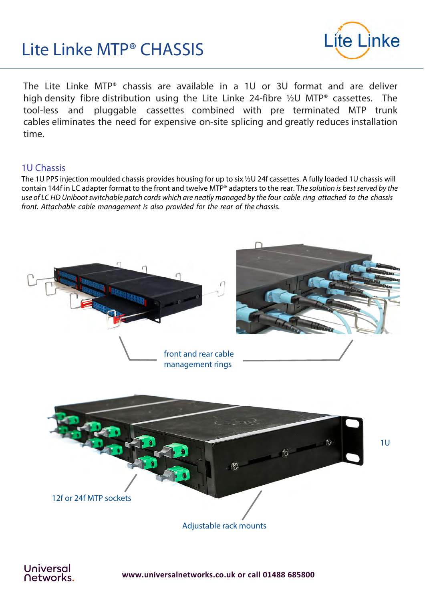# Lite Linke MTP® CHASSIS



The Lite Linke MTP® chassis are available in a 1U or 3U format and are deliver high density fibre distribution using the Lite Linke 24-fibre ½U MTP® cassettes. The tool-less and pluggable cassettes combined with pre terminated MTP trunk cables eliminates the need for expensive on-site splicing and greatly reduces installation time.

## 1U Chassis

The 1U PPS injection moulded chassis provides housing for up to six ½U 24f cassettes. A fully loaded 1U chassis will contain 144f in LC adapter format to the front and twelve MTP® adapters to the rear. The solution is best served by the use of LC HD Uniboot switchable patch cords which are neatly managed by the four cable ring attached to the chassis front. Attachable cable management is also provided for the rear of the chassis.



**www.universalnetworks.co.uk or call 01488 685800**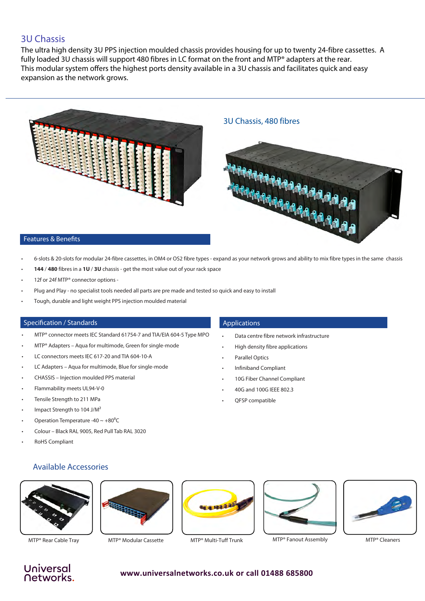### 3U Chassis

The ultra high density 3U PPS injection moulded chassis provides housing for up to twenty 24-fibre cassettes. A fully loaded 3U chassis will support 480 fibres in LC format on the front and MTP® adapters at the rear. This modular system offers the highest ports density available in a 3U chassis and facilitates quick and easy expansion as the network grows.



- 
- 6-slots & 20-slots for modular 24-fibre cassettes, in OM4 or OS2 fibre types expand as your network grows and ability to mix fibre types in the same chassis
- **144** / **480** fibres in a **1U** / **3U** chassis get the most value out of your rack space
- 12f or 24f MTP® connector options -
- Plug and Play no specialist tools needed all parts are pre made and tested so quick and easy to install
- Tough, durable and light weight PPS injection moulded material

#### Specification / Standards

- MTP<sup>®</sup> connector meets IEC Standard 61754-7 and TIA/EIA 604-5 Type MPO
- MTP® Adapters Aqua for multimode, Green for single-mode
- LC connectors meets IEC 617-20 and TIA 604-10-A
- LC Adapters Aqua for multimode, Blue for single-mode
- CHASSIS Injection moulded PPS material
- Flammability meets UL94-V-0
- Tensile Strength to 211 MPa
- Impact Strength to 104 J/M<sup>2</sup>
- Operation Temperature -40  $\sim$  +80<sup>°</sup>C
- Colour Black RAL 9005, Red Pull Tab RAL 3020
- **RoHS Compliant**

#### Applications

- Data centre fibre network infrastructure
- High density fibre applications
- Parallel Optics
- Infiniband Compliant
- 10G Fiber Channel Compliant
- 40G and 100G IEEE 802.3
- QFSP compatible











MTP® Rear Cable Tray MTP® Modular Cassette MTP® Multi-Tuff Trunk MTP® Fanout Assembly MTP® Cleaners



# Universal **Networks**

#### **www.universalnetworks.co.uk or call 01488 685800**